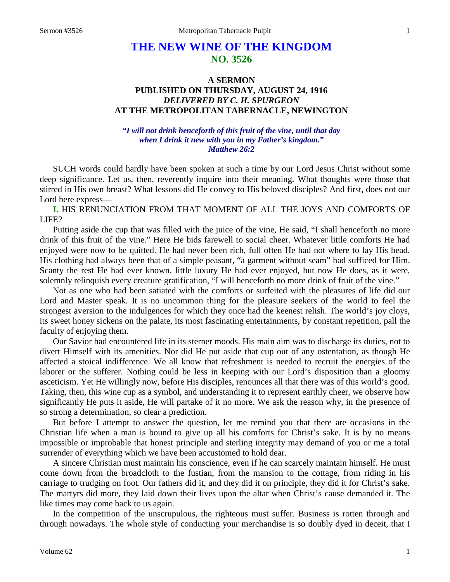# **THE NEW WINE OF THE KINGDOM NO. 3526**

# **A SERMON PUBLISHED ON THURSDAY, AUGUST 24, 1916** *DELIVERED BY C. H. SPURGEON* **AT THE METROPOLITAN TABERNACLE, NEWINGTON**

### *"I will not drink henceforth of this fruit of the vine, until that day when I drink it new with you in my Father's kingdom." Matthew 26:2*

SUCH words could hardly have been spoken at such a time by our Lord Jesus Christ without some deep significance. Let us, then, reverently inquire into their meaning. What thoughts were those that stirred in His own breast? What lessons did He convey to His beloved disciples? And first, does not our Lord here express—

**I.** HIS RENUNCIATION FROM THAT MOMENT OF ALL THE JOYS AND COMFORTS OF LIFE?

Putting aside the cup that was filled with the juice of the vine, He said, "I shall henceforth no more drink of this fruit of the vine." Here He bids farewell to social cheer. Whatever little comforts He had enjoyed were now to be quitted. He had never been rich, full often He had not where to lay His head. His clothing had always been that of a simple peasant, "a garment without seam" had sufficed for Him. Scanty the rest He had ever known, little luxury He had ever enjoyed, but now He does, as it were, solemnly relinquish every creature gratification, "I will henceforth no more drink of fruit of the vine."

Not as one who had been satiated with the comforts or surfeited with the pleasures of life did our Lord and Master speak. It is no uncommon thing for the pleasure seekers of the world to feel the strongest aversion to the indulgences for which they once had the keenest relish. The world's joy cloys, its sweet honey sickens on the palate, its most fascinating entertainments, by constant repetition, pall the faculty of enjoying them.

Our Savior had encountered life in its sterner moods. His main aim was to discharge its duties, not to divert Himself with its amenities. Nor did He put aside that cup out of any ostentation, as though He affected a stoical indifference. We all know that refreshment is needed to recruit the energies of the laborer or the sufferer. Nothing could be less in keeping with our Lord's disposition than a gloomy asceticism. Yet He willingly now, before His disciples, renounces all that there was of this world's good. Taking, then, this wine cup as a symbol, and understanding it to represent earthly cheer, we observe how significantly He puts it aside, He will partake of it no more. We ask the reason why, in the presence of so strong a determination, so clear a prediction.

But before I attempt to answer the question, let me remind you that there are occasions in the Christian life when a man is bound to give up all his comforts for Christ's sake. It is by no means impossible or improbable that honest principle and sterling integrity may demand of you or me a total surrender of everything which we have been accustomed to hold dear.

A sincere Christian must maintain his conscience, even if he can scarcely maintain himself. He must come down from the broadcloth to the fustian, from the mansion to the cottage, from riding in his carriage to trudging on foot. Our fathers did it, and they did it on principle, they did it for Christ's sake. The martyrs did more, they laid down their lives upon the altar when Christ's cause demanded it. The like times may come back to us again.

In the competition of the unscrupulous, the righteous must suffer. Business is rotten through and through nowadays. The whole style of conducting your merchandise is so doubly dyed in deceit, that I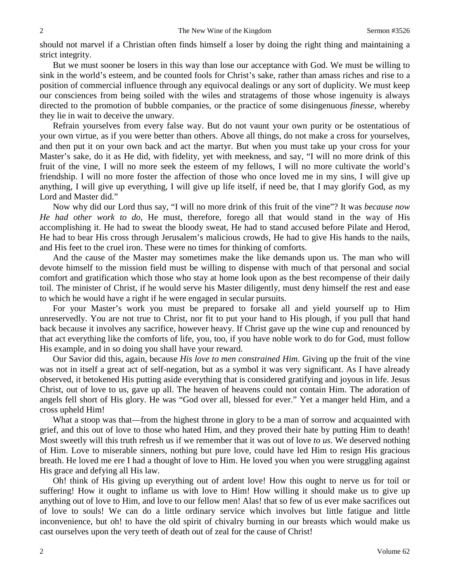should not marvel if a Christian often finds himself a loser by doing the right thing and maintaining a strict integrity.

But we must sooner be losers in this way than lose our acceptance with God. We must be willing to sink in the world's esteem, and be counted fools for Christ's sake, rather than amass riches and rise to a position of commercial influence through any equivocal dealings or any sort of duplicity. We must keep our consciences from being soiled with the wiles and stratagems of those whose ingenuity is always directed to the promotion of bubble companies, or the practice of some disingenuous *finesse,* whereby they lie in wait to deceive the unwary.

Refrain yourselves from every false way. But do not vaunt your own purity or be ostentatious of your own virtue, as if you were better than others. Above all things, do not make a cross for yourselves, and then put it on your own back and act the martyr. But when you must take up your cross for your Master's sake, do it as He did, with fidelity, yet with meekness, and say, "I will no more drink of this fruit of the vine, I will no more seek the esteem of my fellows, I will no more cultivate the world's friendship. I will no more foster the affection of those who once loved me in my sins, I will give up anything, I will give up everything, I will give up life itself, if need be, that I may glorify God, as my Lord and Master did."

Now why did our Lord thus say, "I will no more drink of this fruit of the vine"? It was *because now He had other work to do,* He must, therefore, forego all that would stand in the way of His accomplishing it. He had to sweat the bloody sweat, He had to stand accused before Pilate and Herod, He had to bear His cross through Jerusalem's malicious crowds, He had to give His hands to the nails, and His feet to the cruel iron. These were no times for thinking of comforts.

And the cause of the Master may sometimes make the like demands upon us. The man who will devote himself to the mission field must be willing to dispense with much of that personal and social comfort and gratification which those who stay at home look upon as the best recompense of their daily toil. The minister of Christ, if he would serve his Master diligently, must deny himself the rest and ease to which he would have a right if he were engaged in secular pursuits.

For your Master's work you must be prepared to forsake all and yield yourself up to Him unreservedly. You are not true to Christ, nor fit to put your hand to His plough, if you pull that hand back because it involves any sacrifice, however heavy. If Christ gave up the wine cup and renounced by that act everything like the comforts of life, you, too, if you have noble work to do for God, must follow His example, and in so doing you shall have your reward.

Our Savior did this, again, because *His love to men constrained Him*. Giving up the fruit of the vine was not in itself a great act of self-negation, but as a symbol it was very significant. As I have already observed, it betokened His putting aside everything that is considered gratifying and joyous in life. Jesus Christ, out of love to us, gave up all. The heaven of heavens could not contain Him. The adoration of angels fell short of His glory. He was "God over all, blessed for ever." Yet a manger held Him, and a cross upheld Him!

What a stoop was that—from the highest throne in glory to be a man of sorrow and acquainted with grief, and this out of love to those who hated Him, and they proved their hate by putting Him to death! Most sweetly will this truth refresh us if we remember that it was out of love *to us*. We deserved nothing of Him. Love to miserable sinners, nothing but pure love, could have led Him to resign His gracious breath. He loved me ere I had a thought of love to Him. He loved you when you were struggling against His grace and defying all His law.

Oh! think of His giving up everything out of ardent love! How this ought to nerve us for toil or suffering! How it ought to inflame us with love to Him! How willing it should make us to give up anything out of love to Him, and love to our fellow men! Alas! that so few of us ever make sacrifices out of love to souls! We can do a little ordinary service which involves but little fatigue and little inconvenience, but oh! to have the old spirit of chivalry burning in our breasts which would make us cast ourselves upon the very teeth of death out of zeal for the cause of Christ!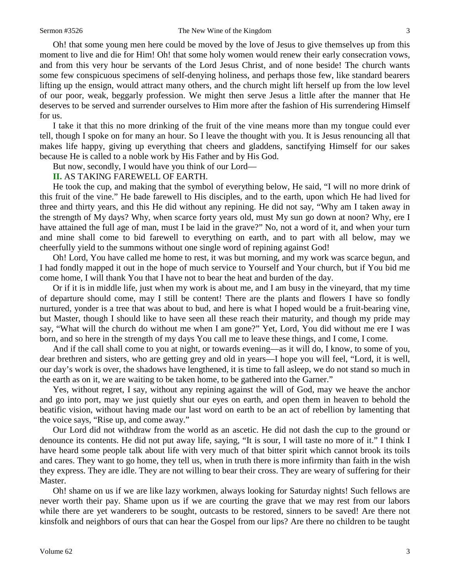Oh! that some young men here could be moved by the love of Jesus to give themselves up from this moment to live and die for Him! Oh! that some holy women would renew their early consecration vows, and from this very hour be servants of the Lord Jesus Christ, and of none beside! The church wants some few conspicuous specimens of self-denying holiness, and perhaps those few, like standard bearers lifting up the ensign, would attract many others, and the church might lift herself up from the low level of our poor, weak, beggarly profession. We might then serve Jesus a little after the manner that He deserves to be served and surrender ourselves to Him more after the fashion of His surrendering Himself for us.

I take it that this no more drinking of the fruit of the vine means more than my tongue could ever tell, though I spoke on for many an hour. So I leave the thought with you. It is Jesus renouncing all that makes life happy, giving up everything that cheers and gladdens, sanctifying Himself for our sakes because He is called to a noble work by His Father and by His God.

But now, secondly, I would have you think of our Lord—

#### **II.** AS TAKING FAREWELL OF EARTH.

He took the cup, and making that the symbol of everything below, He said, "I will no more drink of this fruit of the vine." He bade farewell to His disciples, and to the earth, upon which He had lived for three and thirty years, and this He did without any repining. He did not say, "Why am I taken away in the strength of My days? Why, when scarce forty years old, must My sun go down at noon? Why, ere I have attained the full age of man, must I be laid in the grave?" No, not a word of it, and when your turn and mine shall come to bid farewell to everything on earth, and to part with all below, may we cheerfully yield to the summons without one single word of repining against God!

Oh! Lord, You have called me home to rest, it was but morning, and my work was scarce begun, and I had fondly mapped it out in the hope of much service to Yourself and Your church, but if You bid me come home, I will thank You that I have not to bear the heat and burden of the day.

Or if it is in middle life, just when my work is about me, and I am busy in the vineyard, that my time of departure should come, may I still be content! There are the plants and flowers I have so fondly nurtured, yonder is a tree that was about to bud, and here is what I hoped would be a fruit-bearing vine, but Master, though I should like to have seen all these reach their maturity, and though my pride may say, "What will the church do without me when I am gone?" Yet, Lord, You did without me ere I was born, and so here in the strength of my days You call me to leave these things, and I come, I come.

And if the call shall come to you at night, or towards evening—as it will do, I know, to some of you, dear brethren and sisters, who are getting grey and old in years—I hope you will feel, "Lord, it is well, our day's work is over, the shadows have lengthened, it is time to fall asleep, we do not stand so much in the earth as on it, we are waiting to be taken home, to be gathered into the Garner."

Yes, without regret, I say, without any repining against the will of God, may we heave the anchor and go into port, may we just quietly shut our eyes on earth, and open them in heaven to behold the beatific vision, without having made our last word on earth to be an act of rebellion by lamenting that the voice says, "Rise up, and come away."

Our Lord did not withdraw from the world as an ascetic. He did not dash the cup to the ground or denounce its contents. He did not put away life, saying, "It is sour, I will taste no more of it." I think I have heard some people talk about life with very much of that bitter spirit which cannot brook its toils and cares. They want to go home, they tell us, when in truth there is more infirmity than faith in the wish they express. They are idle. They are not willing to bear their cross. They are weary of suffering for their Master.

Oh! shame on us if we are like lazy workmen, always looking for Saturday nights! Such fellows are never worth their pay. Shame upon us if we are courting the grave that we may rest from our labors while there are yet wanderers to be sought, outcasts to be restored, sinners to be saved! Are there not kinsfolk and neighbors of ours that can hear the Gospel from our lips? Are there no children to be taught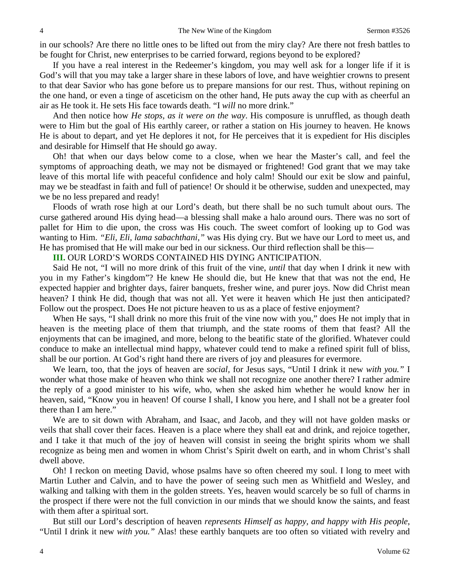in our schools? Are there no little ones to be lifted out from the miry clay? Are there not fresh battles to be fought for Christ, new enterprises to be carried forward, regions beyond to be explored?

If you have a real interest in the Redeemer's kingdom, you may well ask for a longer life if it is God's will that you may take a larger share in these labors of love, and have weightier crowns to present to that dear Savior who has gone before us to prepare mansions for our rest. Thus, without repining on the one hand, or even a tinge of asceticism on the other hand, He puts away the cup with as cheerful an air as He took it. He sets His face towards death. "I *will* no more drink."

And then notice how *He stops, as it were on the way*. His composure is unruffled, as though death were to Him but the goal of His earthly career, or rather a station on His journey to heaven. He knows He is about to depart, and yet He deplores it not, for He perceives that it is expedient for His disciples and desirable for Himself that He should go away.

Oh! that when our days below come to a close, when we hear the Master's call, and feel the symptoms of approaching death, we may not be dismayed or frightened! God grant that we may take leave of this mortal life with peaceful confidence and holy calm! Should our exit be slow and painful, may we be steadfast in faith and full of patience! Or should it be otherwise, sudden and unexpected, may we be no less prepared and ready!

Floods of wrath rose high at our Lord's death, but there shall be no such tumult about ours. The curse gathered around His dying head—a blessing shall make a halo around ours. There was no sort of pallet for Him to die upon, the cross was His couch. The sweet comfort of looking up to God was wanting to Him. *"Eli, Eli, lama sabachthani,"* was His dying cry. But we have our Lord to meet us, and He has promised that He will make our bed in our sickness. Our third reflection shall be this—

**III.** OUR LORD'S WORDS CONTAINED HIS DYING ANTICIPATION.

Said He not, "I will no more drink of this fruit of the vine, *until* that day when I drink it new with you in my Father's kingdom"? He knew He should die, but He knew that that was not the end, He expected happier and brighter days, fairer banquets, fresher wine, and purer joys. Now did Christ mean heaven? I think He did, though that was not all. Yet were it heaven which He just then anticipated? Follow out the prospect. Does He not picture heaven to us as a place of festive enjoyment?

When He says, "I shall drink no more this fruit of the vine now with you," does He not imply that in heaven is the meeting place of them that triumph, and the state rooms of them that feast? All the enjoyments that can be imagined, and more, belong to the beatific state of the glorified. Whatever could conduce to make an intellectual mind happy, whatever could tend to make a refined spirit full of bliss, shall be our portion. At God's right hand there are rivers of joy and pleasures for evermore.

We learn, too, that the joys of heaven are *social,* for Jesus says, "Until I drink it new *with you."* I wonder what those make of heaven who think we shall not recognize one another there? I rather admire the reply of a good minister to his wife, who, when she asked him whether he would know her in heaven, said, "Know you in heaven! Of course I shall, I know you here, and I shall not be a greater fool there than I am here."

We are to sit down with Abraham, and Isaac, and Jacob, and they will not have golden masks or veils that shall cover their faces. Heaven is a place where they shall eat and drink, and rejoice together, and I take it that much of the joy of heaven will consist in seeing the bright spirits whom we shall recognize as being men and women in whom Christ's Spirit dwelt on earth, and in whom Christ's shall dwell above.

Oh! I reckon on meeting David, whose psalms have so often cheered my soul. I long to meet with Martin Luther and Calvin, and to have the power of seeing such men as Whitfield and Wesley, and walking and talking with them in the golden streets. Yes, heaven would scarcely be so full of charms in the prospect if there were not the full conviction in our minds that we should know the saints, and feast with them after a spiritual sort.

But still our Lord's description of heaven *represents Himself as happy, and happy with His people*, "Until I drink it new *with you."* Alas! these earthly banquets are too often so vitiated with revelry and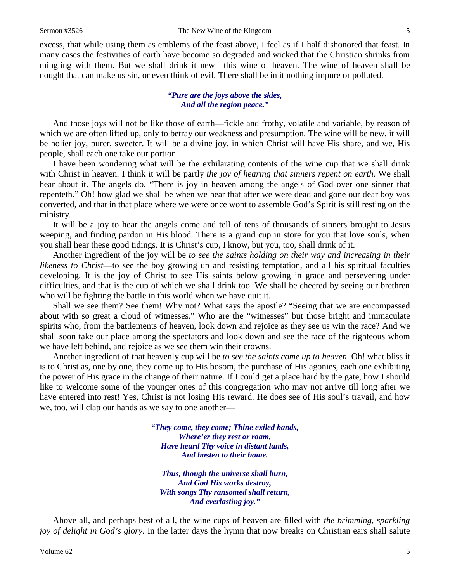excess, that while using them as emblems of the feast above, I feel as if I half dishonored that feast. In many cases the festivities of earth have become so degraded and wicked that the Christian shrinks from mingling with them. But we shall drink it new—this wine of heaven. The wine of heaven shall be nought that can make us sin, or even think of evil. There shall be in it nothing impure or polluted.

#### *"Pure are the joys above the skies, And all the region peace."*

And those joys will not be like those of earth—fickle and frothy, volatile and variable, by reason of which we are often lifted up, only to betray our weakness and presumption. The wine will be new, it will be holier joy, purer, sweeter. It will be a divine joy, in which Christ will have His share, and we, His people, shall each one take our portion.

I have been wondering what will be the exhilarating contents of the wine cup that we shall drink with Christ in heaven. I think it will be partly *the joy of hearing that sinners repent on earth*. We shall hear about it. The angels do. "There is joy in heaven among the angels of God over one sinner that repenteth." Oh! how glad we shall be when we hear that after we were dead and gone our dear boy was converted, and that in that place where we were once wont to assemble God's Spirit is still resting on the ministry.

It will be a joy to hear the angels come and tell of tens of thousands of sinners brought to Jesus weeping, and finding pardon in His blood. There is a grand cup in store for you that love souls, when you shall hear these good tidings. It is Christ's cup, I know, but you, too, shall drink of it.

Another ingredient of the joy will be *to see the saints holding on their way and increasing in their likeness to Christ*—to see the boy growing up and resisting temptation, and all his spiritual faculties developing. It is the joy of Christ to see His saints below growing in grace and persevering under difficulties, and that is the cup of which we shall drink too. We shall be cheered by seeing our brethren who will be fighting the battle in this world when we have quit it.

Shall we see them? See them! Why not? What says the apostle? "Seeing that we are encompassed about with so great a cloud of witnesses." Who are the "witnesses" but those bright and immaculate spirits who, from the battlements of heaven, look down and rejoice as they see us win the race? And we shall soon take our place among the spectators and look down and see the race of the righteous whom we have left behind, and rejoice as we see them win their crowns.

Another ingredient of that heavenly cup will be *to see the saints come up to heaven*. Oh! what bliss it is to Christ as, one by one, they come up to His bosom, the purchase of His agonies, each one exhibiting the power of His grace in the change of their nature. If I could get a place hard by the gate, how I should like to welcome some of the younger ones of this congregation who may not arrive till long after we have entered into rest! Yes, Christ is not losing His reward. He does see of His soul's travail, and how we, too, will clap our hands as we say to one another—

> *"They come, they come; Thine exiled bands, Where'er they rest or roam, Have heard Thy voice in distant lands, And hasten to their home.*

*Thus, though the universe shall burn, And God His works destroy, With songs Thy ransomed shall return, And everlasting joy."*

Above all, and perhaps best of all, the wine cups of heaven are filled with *the brimming, sparkling joy of delight in God's glory*. In the latter days the hymn that now breaks on Christian ears shall salute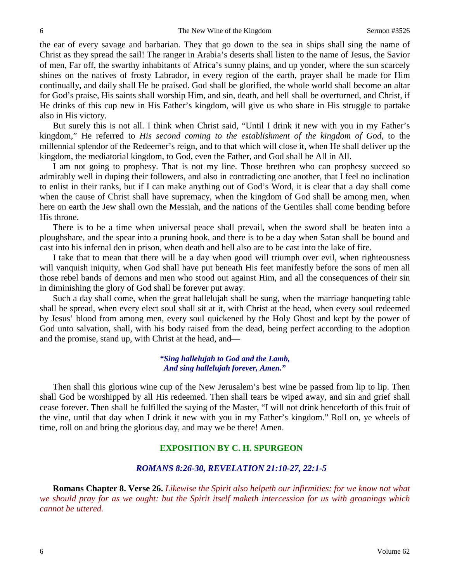the ear of every savage and barbarian. They that go down to the sea in ships shall sing the name of Christ as they spread the sail! The ranger in Arabia's deserts shall listen to the name of Jesus, the Savior of men, Far off, the swarthy inhabitants of Africa's sunny plains, and up yonder, where the sun scarcely shines on the natives of frosty Labrador, in every region of the earth, prayer shall be made for Him continually, and daily shall He be praised. God shall be glorified, the whole world shall become an altar for God's praise, His saints shall worship Him, and sin, death, and hell shall be overturned, and Christ, if He drinks of this cup new in His Father's kingdom, will give us who share in His struggle to partake also in His victory.

But surely this is not all. I think when Christ said, "Until I drink it new with you in my Father's kingdom," He referred to *His second coming to the establishment of the kingdom of God,* to the millennial splendor of the Redeemer's reign, and to that which will close it, when He shall deliver up the kingdom, the mediatorial kingdom, to God, even the Father, and God shall be All in All.

I am not going to prophesy. That is not my line. Those brethren who can prophesy succeed so admirably well in duping their followers, and also in contradicting one another, that I feel no inclination to enlist in their ranks, but if I can make anything out of God's Word, it is clear that a day shall come when the cause of Christ shall have supremacy, when the kingdom of God shall be among men, when here on earth the Jew shall own the Messiah, and the nations of the Gentiles shall come bending before His throne.

There is to be a time when universal peace shall prevail, when the sword shall be beaten into a ploughshare, and the spear into a pruning hook, and there is to be a day when Satan shall be bound and cast into his infernal den in prison, when death and hell also are to be cast into the lake of fire.

I take that to mean that there will be a day when good will triumph over evil, when righteousness will vanquish iniquity, when God shall have put beneath His feet manifestly before the sons of men all those rebel bands of demons and men who stood out against Him, and all the consequences of their sin in diminishing the glory of God shall be forever put away.

Such a day shall come, when the great hallelujah shall be sung, when the marriage banqueting table shall be spread, when every elect soul shall sit at it, with Christ at the head, when every soul redeemed by Jesus' blood from among men, every soul quickened by the Holy Ghost and kept by the power of God unto salvation, shall, with his body raised from the dead, being perfect according to the adoption and the promise, stand up, with Christ at the head, and—

> *"Sing hallelujah to God and the Lamb, And sing hallelujah forever, Amen."*

Then shall this glorious wine cup of the New Jerusalem's best wine be passed from lip to lip. Then shall God be worshipped by all His redeemed. Then shall tears be wiped away, and sin and grief shall cease forever. Then shall be fulfilled the saying of the Master, "I will not drink henceforth of this fruit of the vine, until that day when I drink it new with you in my Father's kingdom." Roll on, ye wheels of time, roll on and bring the glorious day, and may we be there! Amen.

## **EXPOSITION BY C. H. SPURGEON**

### *ROMANS 8:26-30, REVELATION 21:10-27, 22:1-5*

**Romans Chapter 8. Verse 26.** *Likewise the Spirit also helpeth our infirmities: for we know not what we should pray for as we ought: but the Spirit itself maketh intercession for us with groanings which cannot be uttered.*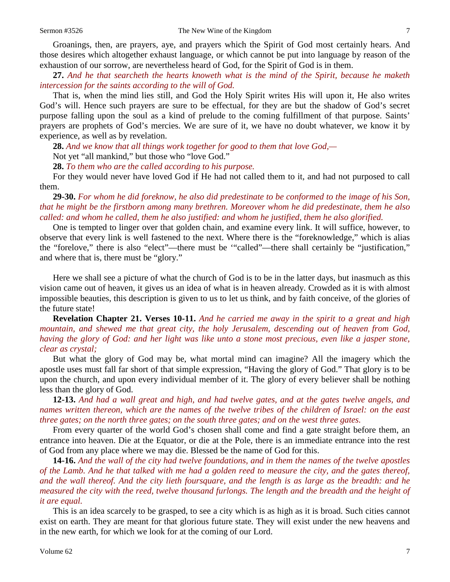Groanings, then, are prayers, aye, and prayers which the Spirit of God most certainly hears. And those desires which altogether exhaust language, or which cannot be put into language by reason of the exhaustion of our sorrow, are nevertheless heard of God, for the Spirit of God is in them.

**27.** *And he that searcheth the hearts knoweth what is the mind of the Spirit, because he maketh intercession for the saints according to the will of God.*

That is, when the mind lies still, and God the Holy Spirit writes His will upon it, He also writes God's will. Hence such prayers are sure to be effectual, for they are but the shadow of God's secret purpose falling upon the soul as a kind of prelude to the coming fulfillment of that purpose. Saints' prayers are prophets of God's mercies. We are sure of it, we have no doubt whatever, we know it by experience, as well as by revelation.

**28.** *And we know that all things work together for good to them that love God,—*

Not yet "all mankind," but those who "love God."

**28.** *To them who are the called according to his purpose.*

For they would never have loved God if He had not called them to it, and had not purposed to call them.

**29-30.** *For whom he did foreknow, he also did predestinate to be conformed to the image of his Son, that he might be the firstborn among many brethren. Moreover whom he did predestinate, them he also called: and whom he called, them he also justified: and whom he justified, them he also glorified.*

One is tempted to linger over that golden chain, and examine every link. It will suffice, however, to observe that every link is well fastened to the next. Where there is the "foreknowledge," which is alias the "forelove," there is also "elect"—there must be '"called"—there shall certainly be "justification," and where that is, there must be "glory."

Here we shall see a picture of what the church of God is to be in the latter days, but inasmuch as this vision came out of heaven, it gives us an idea of what is in heaven already. Crowded as it is with almost impossible beauties, this description is given to us to let us think, and by faith conceive, of the glories of the future state!

**Revelation Chapter 21. Verses 10-11.** *And he carried me away in the spirit to a great and high mountain, and shewed me that great city, the holy Jerusalem, descending out of heaven from God, having the glory of God: and her light was like unto a stone most precious, even like a jasper stone, clear as crystal;*

But what the glory of God may be, what mortal mind can imagine? All the imagery which the apostle uses must fall far short of that simple expression, "Having the glory of God." That glory is to be upon the church, and upon every individual member of it. The glory of every believer shall be nothing less than the glory of God.

**12-13.** *And had a wall great and high, and had twelve gates, and at the gates twelve angels, and names written thereon, which are the names of the twelve tribes of the children of Israel: on the east three gates; on the north three gates; on the south three gates; and on the west three gates.*

From every quarter of the world God's chosen shall come and find a gate straight before them, an entrance into heaven. Die at the Equator, or die at the Pole, there is an immediate entrance into the rest of God from any place where we may die. Blessed be the name of God for this.

**14-16.** *And the wall of the city had twelve foundations, and in them the names of the twelve apostles of the Lamb. And he that talked with me had a golden reed to measure the city, and the gates thereof, and the wall thereof. And the city lieth foursquare, and the length is as large as the breadth: and he measured the city with the reed, twelve thousand furlongs. The length and the breadth and the height of it are equal.*

This is an idea scarcely to be grasped, to see a city which is as high as it is broad. Such cities cannot exist on earth. They are meant for that glorious future state. They will exist under the new heavens and in the new earth, for which we look for at the coming of our Lord.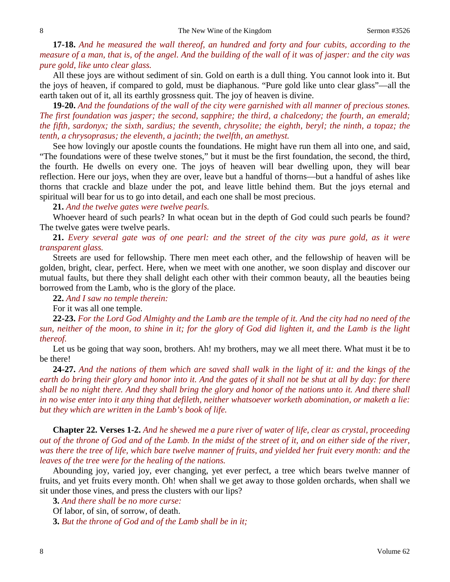**17-18.** *And he measured the wall thereof, an hundred and forty and four cubits, according to the measure of a man, that is, of the angel. And the building of the wall of it was of jasper: and the city was pure gold, like unto clear glass.*

All these joys are without sediment of sin. Gold on earth is a dull thing. You cannot look into it. But the joys of heaven, if compared to gold, must be diaphanous. "Pure gold like unto clear glass"—all the earth taken out of it, all its earthly grossness quit. The joy of heaven is divine.

**19-20.** *And the foundations of the wall of the city were garnished with all manner of precious stones. The first foundation was jasper; the second, sapphire; the third, a chalcedony; the fourth, an emerald; the fifth, sardonyx; the sixth, sardius; the seventh, chrysolite; the eighth, beryl; the ninth, a topaz; the tenth, a chrysoprasus; the eleventh, a jacinth; the twelfth, an amethyst.*

See how lovingly our apostle counts the foundations. He might have run them all into one, and said, "The foundations were of these twelve stones," but it must be the first foundation, the second, the third, the fourth. He dwells on every one. The joys of heaven will bear dwelling upon, they will bear reflection. Here our joys, when they are over, leave but a handful of thorns—but a handful of ashes like thorns that crackle and blaze under the pot, and leave little behind them. But the joys eternal and spiritual will bear for us to go into detail, and each one shall be most precious.

**21.** *And the twelve gates were twelve pearls.*

Whoever heard of such pearls? In what ocean but in the depth of God could such pearls be found? The twelve gates were twelve pearls.

**21.** *Every several gate was of one pearl: and the street of the city was pure gold, as it were transparent glass.*

Streets are used for fellowship. There men meet each other, and the fellowship of heaven will be golden, bright, clear, perfect. Here, when we meet with one another, we soon display and discover our mutual faults, but there they shall delight each other with their common beauty, all the beauties being borrowed from the Lamb, who is the glory of the place.

**22.** *And I saw no temple therein:*

For it was all one temple.

**22-23.** *For the Lord God Almighty and the Lamb are the temple of it. And the city had no need of the sun, neither of the moon, to shine in it; for the glory of God did lighten it, and the Lamb is the light thereof.*

Let us be going that way soon, brothers. Ah! my brothers, may we all meet there. What must it be to be there!

**24-27.** *And the nations of them which are saved shall walk in the light of it: and the kings of the earth do bring their glory and honor into it. And the gates of it shall not be shut at all by day: for there shall be no night there. And they shall bring the glory and honor of the nations unto it. And there shall in no wise enter into it any thing that defileth, neither whatsoever worketh abomination, or maketh a lie: but they which are written in the Lamb's book of life.*

**Chapter 22. Verses 1-2.** *And he shewed me a pure river of water of life, clear as crystal, proceeding out of the throne of God and of the Lamb. In the midst of the street of it, and on either side of the river, was there the tree of life, which bare twelve manner of fruits, and yielded her fruit every month: and the leaves of the tree were for the healing of the nations.*

Abounding joy, varied joy, ever changing, yet ever perfect, a tree which bears twelve manner of fruits, and yet fruits every month. Oh! when shall we get away to those golden orchards, when shall we sit under those vines, and press the clusters with our lips?

**3.** *And there shall be no more curse:* Of labor, of sin, of sorrow, of death.

**3.** *But the throne of God and of the Lamb shall be in it;*